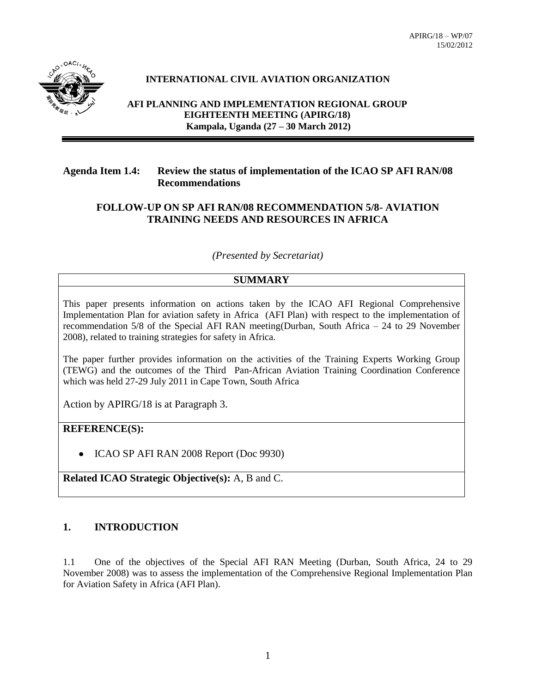

## **INTERNATIONAL CIVIL AVIATION ORGANIZATION**

**AFI PLANNING AND IMPLEMENTATION REGIONAL GROUP EIGHTEENTH MEETING (APIRG/18) Kampala, Uganda (27 – 30 March 2012)**

#### **Agenda Item 1.4: Review the status of implementation of the ICAO SP AFI RAN/08 Recommendations**

### **FOLLOW-UP ON SP AFI RAN/08 RECOMMENDATION 5/8- AVIATION TRAINING NEEDS AND RESOURCES IN AFRICA**

*(Presented by Secretariat)*

### **SUMMARY**

This paper presents information on actions taken by the ICAO AFI Regional Comprehensive Implementation Plan for aviation safety in Africa (AFI Plan) with respect to the implementation of recommendation 5/8 of the Special AFI RAN meeting(Durban, South Africa – 24 to 29 November 2008), related to training strategies for safety in Africa.

The paper further provides information on the activities of the Training Experts Working Group (TEWG) and the outcomes of the Third Pan-African Aviation Training Coordination Conference which was held 27-29 July 2011 in Cape Town, South Africa

Action by APIRG/18 is at Paragraph 3.

## **REFERENCE(S):**

• ICAO SP AFI RAN 2008 Report (Doc 9930)

**Related ICAO Strategic Objective(s):** A, B and C.

## **1. INTRODUCTION**

1.1 One of the objectives of the Special AFI RAN Meeting (Durban, South Africa, 24 to 29 November 2008) was to assess the implementation of the Comprehensive Regional Implementation Plan for Aviation Safety in Africa (AFI Plan).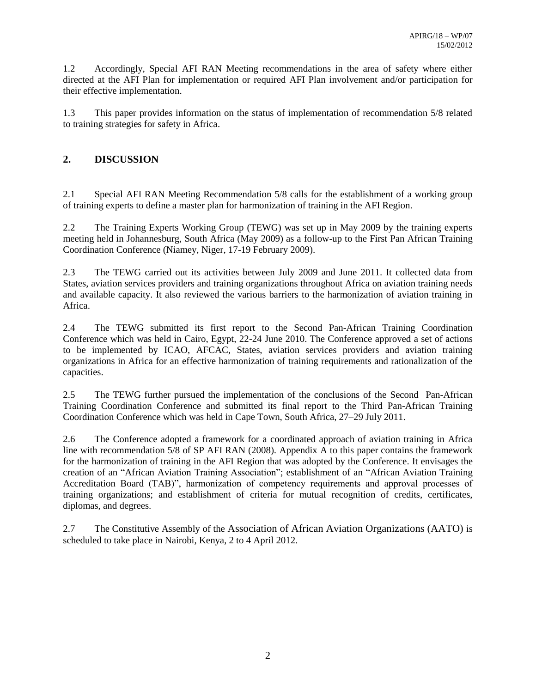1.2 Accordingly, Special AFI RAN Meeting recommendations in the area of safety where either directed at the AFI Plan for implementation or required AFI Plan involvement and/or participation for their effective implementation.

1.3 This paper provides information on the status of implementation of recommendation 5/8 related to training strategies for safety in Africa.

# **2. DISCUSSION**

2.1 Special AFI RAN Meeting Recommendation 5/8 calls for the establishment of a working group of training experts to define a master plan for harmonization of training in the AFI Region.

2.2 The Training Experts Working Group (TEWG) was set up in May 2009 by the training experts meeting held in Johannesburg, South Africa (May 2009) as a follow-up to the First Pan African Training Coordination Conference (Niamey, Niger, 17-19 February 2009).

2.3 The TEWG carried out its activities between July 2009 and June 2011. It collected data from States, aviation services providers and training organizations throughout Africa on aviation training needs and available capacity. It also reviewed the various barriers to the harmonization of aviation training in Africa.

2.4 The TEWG submitted its first report to the Second Pan-African Training Coordination Conference which was held in Cairo, Egypt, 22-24 June 2010. The Conference approved a set of actions to be implemented by ICAO, AFCAC, States, aviation services providers and aviation training organizations in Africa for an effective harmonization of training requirements and rationalization of the capacities.

2.5 The TEWG further pursued the implementation of the conclusions of the Second Pan-African Training Coordination Conference and submitted its final report to the Third Pan-African Training Coordination Conference which was held in Cape Town, South Africa, 27–29 July 2011.

2.6 The Conference adopted a framework for a coordinated approach of aviation training in Africa line with recommendation 5/8 of SP AFI RAN (2008). Appendix A to this paper contains the framework for the harmonization of training in the AFI Region that was adopted by the Conference. It envisages the creation of an "African Aviation Training Association"; establishment of an "African Aviation Training Accreditation Board (TAB)", harmonization of competency requirements and approval processes of training organizations; and establishment of criteria for mutual recognition of credits, certificates, diplomas, and degrees.

2.7 The Constitutive Assembly of the Association of African Aviation Organizations (AATO) is scheduled to take place in Nairobi, Kenya, 2 to 4 April 2012.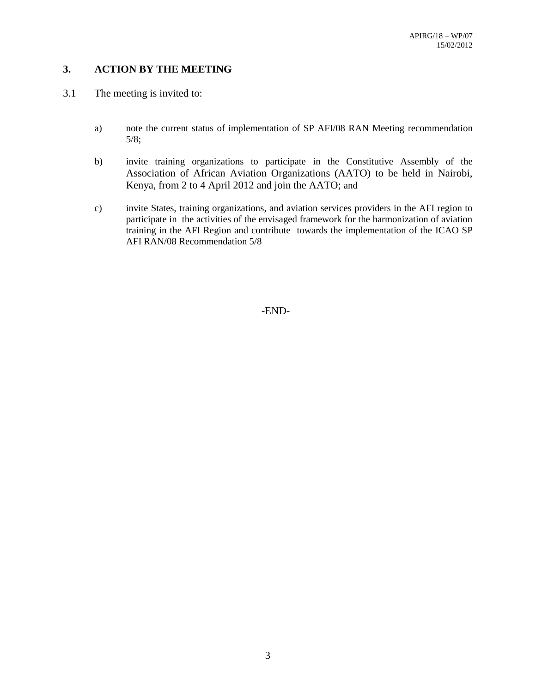# **3. ACTION BY THE MEETING**

- 3.1 The meeting is invited to:
	- a) note the current status of implementation of SP AFI/08 RAN Meeting recommendation 5/8;
	- b) invite training organizations to participate in the Constitutive Assembly of the Association of African Aviation Organizations (AATO) to be held in Nairobi, Kenya, from 2 to 4 April 2012 and join the AATO; and
	- c) invite States, training organizations, and aviation services providers in the AFI region to participate in the activities of the envisaged framework for the harmonization of aviation training in the AFI Region and contribute towards the implementation of the ICAO SP AFI RAN/08 Recommendation 5/8

-END-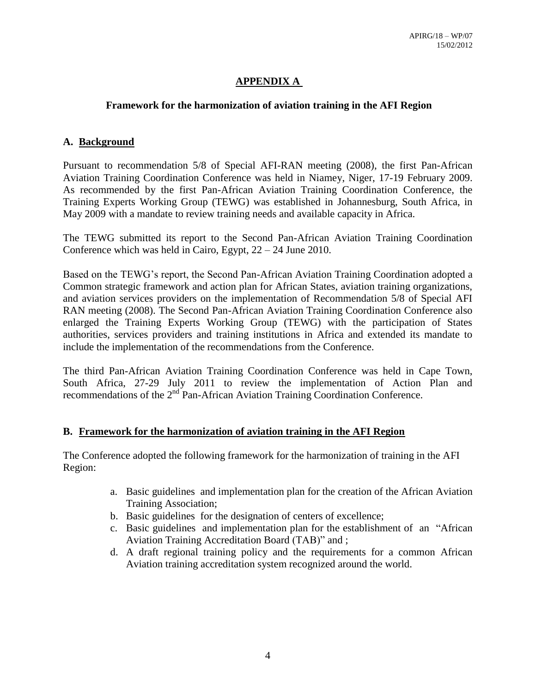# **APPENDIX A**

## **Framework for the harmonization of aviation training in the AFI Region**

## **A. Background**

Pursuant to recommendation 5/8 of Special AFI-RAN meeting (2008), the first Pan-African Aviation Training Coordination Conference was held in Niamey, Niger, 17-19 February 2009. As recommended by the first Pan-African Aviation Training Coordination Conference, the Training Experts Working Group (TEWG) was established in Johannesburg, South Africa, in May 2009 with a mandate to review training needs and available capacity in Africa.

The TEWG submitted its report to the Second Pan-African Aviation Training Coordination Conference which was held in Cairo, Egypt, 22 – 24 June 2010.

Based on the TEWG's report, the Second Pan-African Aviation Training Coordination adopted a Common strategic framework and action plan for African States, aviation training organizations, and aviation services providers on the implementation of Recommendation 5/8 of Special AFI RAN meeting (2008). The Second Pan-African Aviation Training Coordination Conference also enlarged the Training Experts Working Group (TEWG) with the participation of States authorities, services providers and training institutions in Africa and extended its mandate to include the implementation of the recommendations from the Conference.

The third Pan-African Aviation Training Coordination Conference was held in Cape Town, South Africa, 27-29 July 2011 to review the implementation of Action Plan and recommendations of the 2<sup>nd</sup> Pan-African Aviation Training Coordination Conference.

### **B. Framework for the harmonization of aviation training in the AFI Region**

The Conference adopted the following framework for the harmonization of training in the AFI Region:

- a. Basic guidelines and implementation plan for the creation of the African Aviation Training Association;
- b. Basic guidelines for the designation of centers of excellence;
- c. Basic guidelines and implementation plan for the establishment of an "African Aviation Training Accreditation Board (TAB)" and ;
- d. A draft regional training policy and the requirements for a common African Aviation training accreditation system recognized around the world.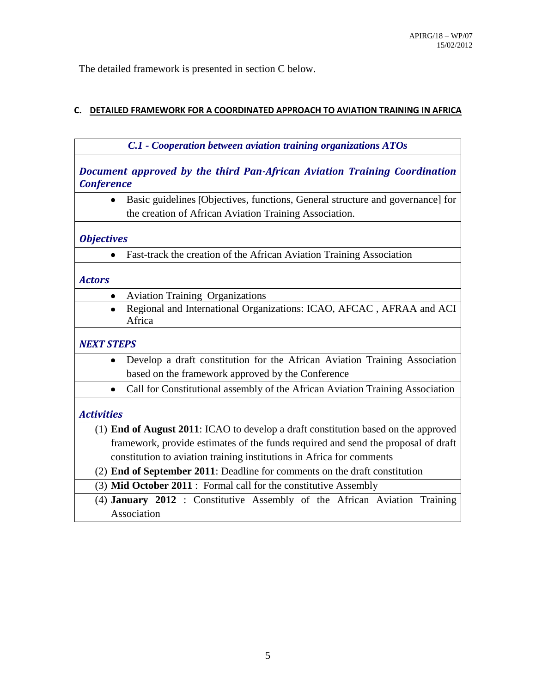The detailed framework is presented in section C below.

# **C. DETAILED FRAMEWORK FOR A COORDINATED APPROACH TO AVIATION TRAINING IN AFRICA**

| C.1 - Cooperation between aviation training organizations ATOs                                                                           |
|------------------------------------------------------------------------------------------------------------------------------------------|
| Document approved by the third Pan-African Aviation Training Coordination<br><b>Conference</b>                                           |
| Basic guidelines [Objectives, functions, General structure and governance] for<br>the creation of African Aviation Training Association. |
| <b>Objectives</b>                                                                                                                        |
| Fast-track the creation of the African Aviation Training Association                                                                     |
| <b>Actors</b>                                                                                                                            |
| <b>Aviation Training Organizations</b>                                                                                                   |
| Regional and International Organizations: ICAO, AFCAC, AFRAA and ACI<br>Africa                                                           |
| <b>NEXT STEPS</b>                                                                                                                        |
| Develop a draft constitution for the African Aviation Training Association                                                               |
| based on the framework approved by the Conference                                                                                        |
| Call for Constitutional assembly of the African Aviation Training Association                                                            |
| <b>Activities</b>                                                                                                                        |
| (1) End of August 2011: ICAO to develop a draft constitution based on the approved                                                       |
| framework, provide estimates of the funds required and send the proposal of draft                                                        |
| constitution to aviation training institutions in Africa for comments                                                                    |
| (2) End of September 2011: Deadline for comments on the draft constitution                                                               |
| (3) Mid October 2011 : Formal call for the constitutive Assembly                                                                         |
| (4) January 2012 : Constitutive Assembly of the African Aviation Training                                                                |
| Association                                                                                                                              |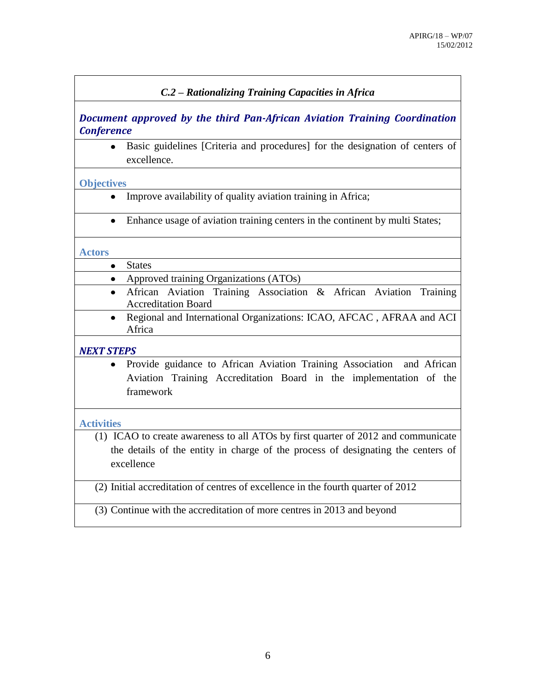## *C.2 – Rationalizing Training Capacities in Africa*

*Document approved by the third Pan-African Aviation Training Coordination Conference*

Basic guidelines [Criteria and procedures] for the designation of centers of  $\bullet$ excellence.

#### **Objectives**

- Improve availability of quality aviation training in Africa;
- Enhance usage of aviation training centers in the continent by multi States;

#### **Actors**

- States
	- Approved training Organizations (ATOs)
		- African Aviation Training Association & African Aviation Training Accreditation Board
		- Regional and International Organizations: ICAO, AFCAC , AFRAA and ACI  $\bullet$ Africa

#### *NEXT STEPS*

Provide guidance to African Aviation Training Association and African Aviation Training Accreditation Board in the implementation of the framework

### **Activities**

(1) ICAO to create awareness to all ATOs by first quarter of 2012 and communicate the details of the entity in charge of the process of designating the centers of excellence

(2) Initial accreditation of centres of excellence in the fourth quarter of 2012

(3) Continue with the accreditation of more centres in 2013 and beyond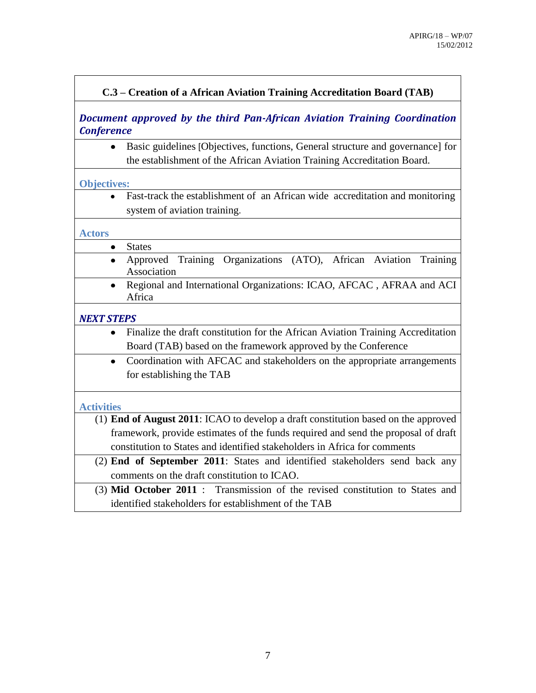# **C.3 – Creation of a African Aviation Training Accreditation Board (TAB)**

# *Document approved by the third Pan-African Aviation Training Coordination Conference*

Basic guidelines [Objectives, functions, General structure and governance] for  $\bullet$ the establishment of the African Aviation Training Accreditation Board.

### **Objectives:**

Fast-track the establishment of an African wide accreditation and monitoring  $\bullet$ system of aviation training.

## **Actors**

- **States**  $\bullet$ 
	- Approved Training Organizations (ATO), African Aviation Training Association
		- Regional and International Organizations: ICAO, AFCAC , AFRAA and ACI Africa

### *NEXT STEPS*

- Finalize the draft constitution for the African Aviation Training Accreditation Board (TAB) based on the framework approved by the Conference
- Coordination with AFCAC and stakeholders on the appropriate arrangements for establishing the TAB

## **Activities**

- (1) **End of August 2011**: ICAO to develop a draft constitution based on the approved framework, provide estimates of the funds required and send the proposal of draft constitution to States and identified stakeholders in Africa for comments
- (2) **End of September 2011**: States and identified stakeholders send back any comments on the draft constitution to ICAO.
	- (3) **Mid October 2011** : Transmission of the revised constitution to States and identified stakeholders for establishment of the TAB